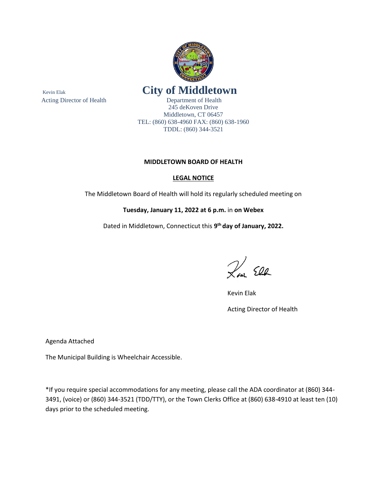

245 deKoven Drive Middletown, CT 06457 TEL: (860) 638-4960 FAX: (860) 638-1960 TDDL: (860) 344-3521

### **MIDDLETOWN BOARD OF HEALTH**

#### **LEGAL NOTICE**

The Middletown Board of Health will hold its regularly scheduled meeting on

### **Tuesday, January 11, 2022 at 6 p.m.** in **on Webex**

Dated in Middletown, Connecticut this **9 th day of January, 2022.**

Rem Ell

Kevin Elak

Acting Director of Health

Agenda Attached

The Municipal Building is Wheelchair Accessible.

\*If you require special accommodations for any meeting, please call the ADA coordinator at (860) 344- 3491, (voice) or (860) 344-3521 (TDD/TTY), or the Town Clerks Office at (860) 638-4910 at least ten (10) days prior to the scheduled meeting.